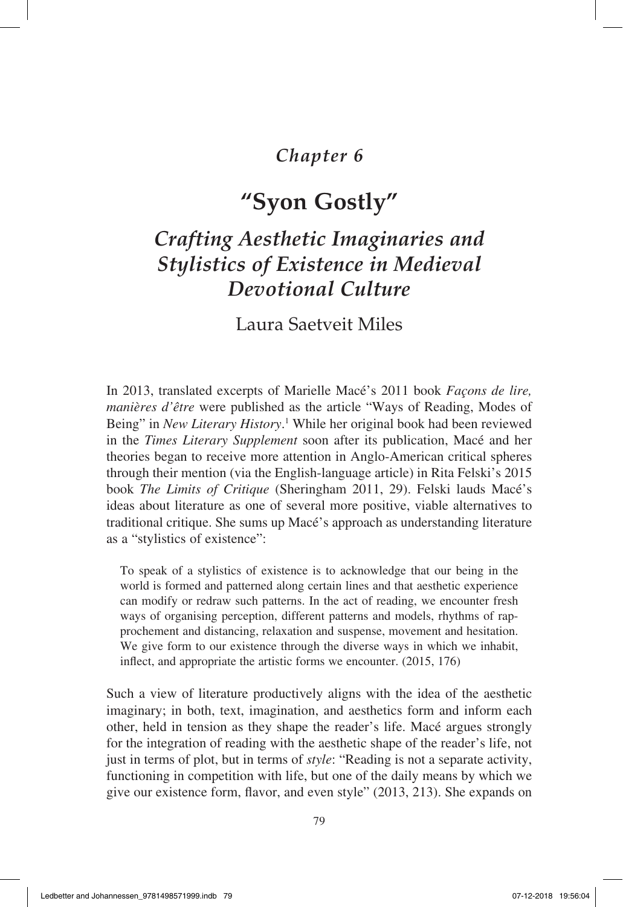# *Chapter 6*

# **"Syon Gostly"**

# *Crafting Aesthetic Imaginaries and Stylistics of Existence in Medieval Devotional Culture*

Laura Saetveit Miles

In 2013, translated excerpts of Marielle Macé's 2011 book *Façons de lire, manières d'être* were published as the article "Ways of Reading, Modes of Being" in *New Literary History*. 1 While her original book had been reviewed in the *Times Literary Supplement* soon after its publication, Macé and her theories began to receive more attention in Anglo-American critical spheres through their mention (via the English-language article) in Rita Felski's 2015 book *The Limits of Critique* (Sheringham 2011, 29). Felski lauds Macé's ideas about literature as one of several more positive, viable alternatives to traditional critique. She sums up Macé's approach as understanding literature as a "stylistics of existence":

To speak of a stylistics of existence is to acknowledge that our being in the world is formed and patterned along certain lines and that aesthetic experience can modify or redraw such patterns. In the act of reading, we encounter fresh ways of organising perception, different patterns and models, rhythms of rapprochement and distancing, relaxation and suspense, movement and hesitation. We give form to our existence through the diverse ways in which we inhabit, inflect, and appropriate the artistic forms we encounter. (2015, 176)

Such a view of literature productively aligns with the idea of the aesthetic imaginary; in both, text, imagination, and aesthetics form and inform each other, held in tension as they shape the reader's life. Macé argues strongly for the integration of reading with the aesthetic shape of the reader's life, not just in terms of plot, but in terms of *style*: "Reading is not a separate activity, functioning in competition with life, but one of the daily means by which we give our existence form, flavor, and even style" (2013, 213). She expands on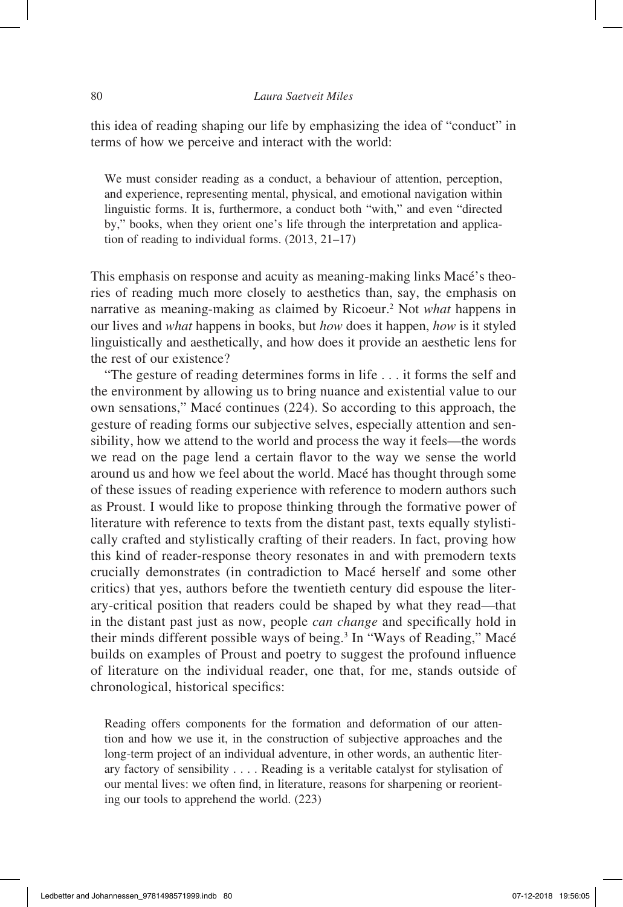this idea of reading shaping our life by emphasizing the idea of "conduct" in terms of how we perceive and interact with the world:

We must consider reading as a conduct, a behaviour of attention, perception, and experience, representing mental, physical, and emotional navigation within linguistic forms. It is, furthermore, a conduct both "with," and even "directed by," books, when they orient one's life through the interpretation and application of reading to individual forms. (2013, 21–17)

This emphasis on response and acuity as meaning-making links Macé's theories of reading much more closely to aesthetics than, say, the emphasis on narrative as meaning-making as claimed by Ricoeur.2 Not *what* happens in our lives and *what* happens in books, but *how* does it happen, *how* is it styled linguistically and aesthetically, and how does it provide an aesthetic lens for the rest of our existence?

"The gesture of reading determines forms in life . . . it forms the self and the environment by allowing us to bring nuance and existential value to our own sensations," Macé continues (224). So according to this approach, the gesture of reading forms our subjective selves, especially attention and sensibility, how we attend to the world and process the way it feels—the words we read on the page lend a certain flavor to the way we sense the world around us and how we feel about the world. Macé has thought through some of these issues of reading experience with reference to modern authors such as Proust. I would like to propose thinking through the formative power of literature with reference to texts from the distant past, texts equally stylistically crafted and stylistically crafting of their readers. In fact, proving how this kind of reader-response theory resonates in and with premodern texts crucially demonstrates (in contradiction to Macé herself and some other critics) that yes, authors before the twentieth century did espouse the literary-critical position that readers could be shaped by what they read—that in the distant past just as now, people *can change* and specifically hold in their minds different possible ways of being.<sup>3</sup> In "Ways of Reading," Macé builds on examples of Proust and poetry to suggest the profound influence of literature on the individual reader, one that, for me, stands outside of chronological, historical specifics:

Reading offers components for the formation and deformation of our attention and how we use it, in the construction of subjective approaches and the long-term project of an individual adventure, in other words, an authentic literary factory of sensibility . . . . Reading is a veritable catalyst for stylisation of our mental lives: we often find, in literature, reasons for sharpening or reorienting our tools to apprehend the world. (223)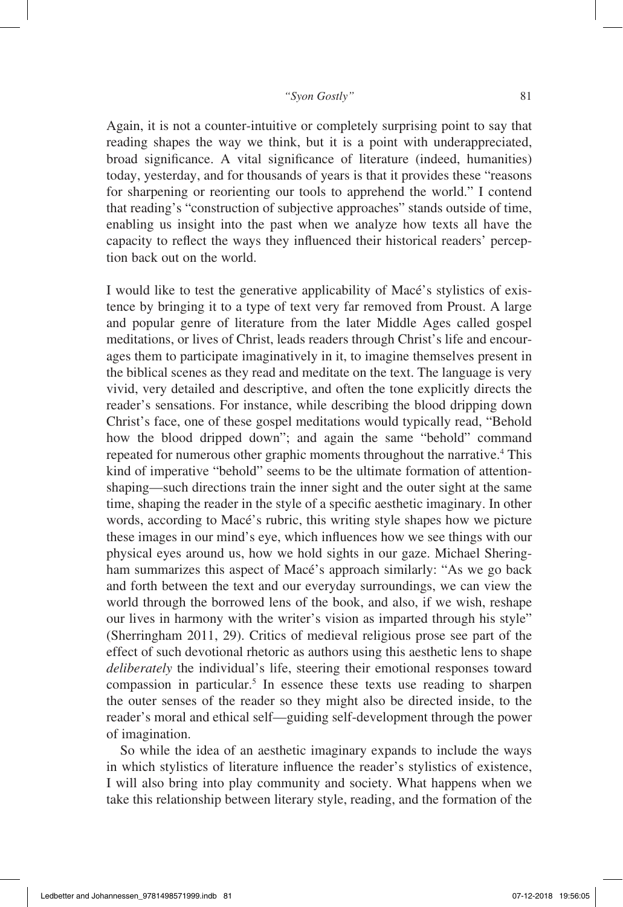Again, it is not a counter-intuitive or completely surprising point to say that reading shapes the way we think, but it is a point with underappreciated, broad significance. A vital significance of literature (indeed, humanities) today, yesterday, and for thousands of years is that it provides these "reasons for sharpening or reorienting our tools to apprehend the world." I contend that reading's "construction of subjective approaches" stands outside of time, enabling us insight into the past when we analyze how texts all have the capacity to reflect the ways they influenced their historical readers' perception back out on the world.

I would like to test the generative applicability of Macé's stylistics of existence by bringing it to a type of text very far removed from Proust. A large and popular genre of literature from the later Middle Ages called gospel meditations, or lives of Christ, leads readers through Christ's life and encourages them to participate imaginatively in it, to imagine themselves present in the biblical scenes as they read and meditate on the text. The language is very vivid, very detailed and descriptive, and often the tone explicitly directs the reader's sensations. For instance, while describing the blood dripping down Christ's face, one of these gospel meditations would typically read, "Behold how the blood dripped down"; and again the same "behold" command repeated for numerous other graphic moments throughout the narrative.<sup>4</sup> This kind of imperative "behold" seems to be the ultimate formation of attentionshaping—such directions train the inner sight and the outer sight at the same time, shaping the reader in the style of a specific aesthetic imaginary. In other words, according to Macé's rubric, this writing style shapes how we picture these images in our mind's eye, which influences how we see things with our physical eyes around us, how we hold sights in our gaze. Michael Sheringham summarizes this aspect of Macé's approach similarly: "As we go back and forth between the text and our everyday surroundings, we can view the world through the borrowed lens of the book, and also, if we wish, reshape our lives in harmony with the writer's vision as imparted through his style" (Sherringham 2011, 29). Critics of medieval religious prose see part of the effect of such devotional rhetoric as authors using this aesthetic lens to shape *deliberately* the individual's life, steering their emotional responses toward compassion in particular.<sup>5</sup> In essence these texts use reading to sharpen the outer senses of the reader so they might also be directed inside, to the reader's moral and ethical self—guiding self-development through the power of imagination.

So while the idea of an aesthetic imaginary expands to include the ways in which stylistics of literature influence the reader's stylistics of existence, I will also bring into play community and society. What happens when we take this relationship between literary style, reading, and the formation of the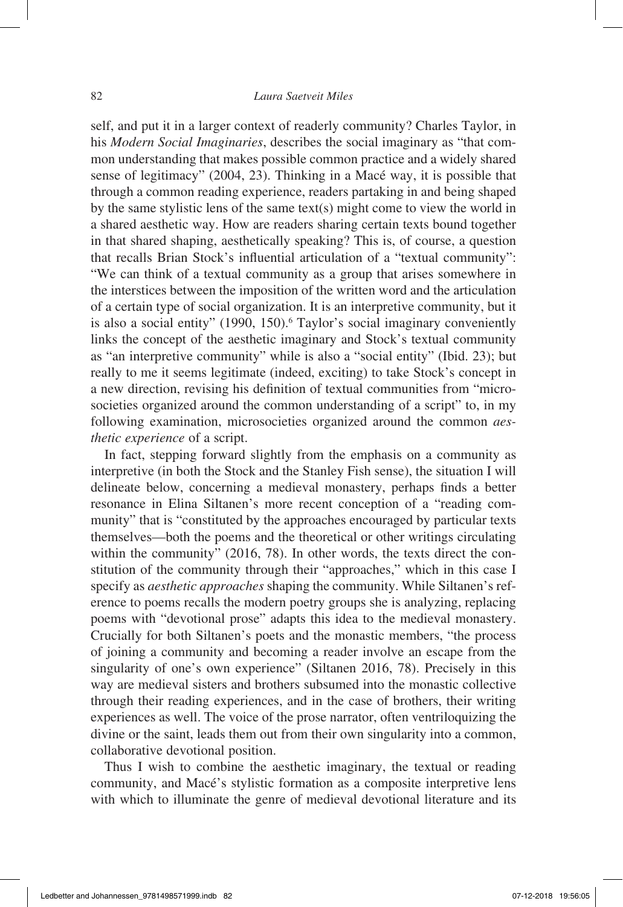self, and put it in a larger context of readerly community? Charles Taylor, in his *Modern Social Imaginaries*, describes the social imaginary as "that common understanding that makes possible common practice and a widely shared sense of legitimacy" (2004, 23). Thinking in a Macé way, it is possible that through a common reading experience, readers partaking in and being shaped by the same stylistic lens of the same text(s) might come to view the world in a shared aesthetic way. How are readers sharing certain texts bound together in that shared shaping, aesthetically speaking? This is, of course, a question that recalls Brian Stock's influential articulation of a "textual community": "We can think of a textual community as a group that arises somewhere in the interstices between the imposition of the written word and the articulation of a certain type of social organization. It is an interpretive community, but it is also a social entity" (1990, 150).<sup>6</sup> Taylor's social imaginary conveniently links the concept of the aesthetic imaginary and Stock's textual community as "an interpretive community" while is also a "social entity" (Ibid. 23); but really to me it seems legitimate (indeed, exciting) to take Stock's concept in a new direction, revising his definition of textual communities from "microsocieties organized around the common understanding of a script" to, in my following examination, microsocieties organized around the common *aesthetic experience* of a script.

In fact, stepping forward slightly from the emphasis on a community as interpretive (in both the Stock and the Stanley Fish sense), the situation I will delineate below, concerning a medieval monastery, perhaps finds a better resonance in Elina Siltanen's more recent conception of a "reading community" that is "constituted by the approaches encouraged by particular texts themselves—both the poems and the theoretical or other writings circulating within the community" (2016, 78). In other words, the texts direct the constitution of the community through their "approaches," which in this case I specify as *aesthetic approaches* shaping the community. While Siltanen's reference to poems recalls the modern poetry groups she is analyzing, replacing poems with "devotional prose" adapts this idea to the medieval monastery. Crucially for both Siltanen's poets and the monastic members, "the process of joining a community and becoming a reader involve an escape from the singularity of one's own experience" (Siltanen 2016, 78). Precisely in this way are medieval sisters and brothers subsumed into the monastic collective through their reading experiences, and in the case of brothers, their writing experiences as well. The voice of the prose narrator, often ventriloquizing the divine or the saint, leads them out from their own singularity into a common, collaborative devotional position.

Thus I wish to combine the aesthetic imaginary, the textual or reading community, and Macé's stylistic formation as a composite interpretive lens with which to illuminate the genre of medieval devotional literature and its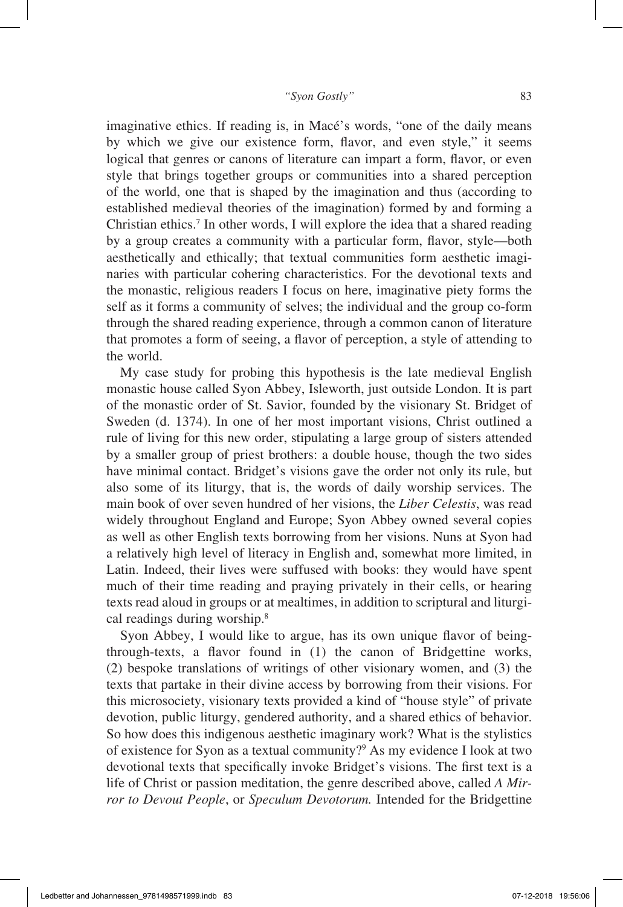imaginative ethics. If reading is, in Macé's words, "one of the daily means by which we give our existence form, flavor, and even style," it seems logical that genres or canons of literature can impart a form, flavor, or even style that brings together groups or communities into a shared perception of the world, one that is shaped by the imagination and thus (according to established medieval theories of the imagination) formed by and forming a Christian ethics.<sup>7</sup> In other words, I will explore the idea that a shared reading by a group creates a community with a particular form, flavor, style—both aesthetically and ethically; that textual communities form aesthetic imaginaries with particular cohering characteristics. For the devotional texts and the monastic, religious readers I focus on here, imaginative piety forms the self as it forms a community of selves; the individual and the group co-form through the shared reading experience, through a common canon of literature that promotes a form of seeing, a flavor of perception, a style of attending to the world.

My case study for probing this hypothesis is the late medieval English monastic house called Syon Abbey, Isleworth, just outside London. It is part of the monastic order of St. Savior, founded by the visionary St. Bridget of Sweden (d. 1374). In one of her most important visions, Christ outlined a rule of living for this new order, stipulating a large group of sisters attended by a smaller group of priest brothers: a double house, though the two sides have minimal contact. Bridget's visions gave the order not only its rule, but also some of its liturgy, that is, the words of daily worship services. The main book of over seven hundred of her visions, the *Liber Celestis*, was read widely throughout England and Europe; Syon Abbey owned several copies as well as other English texts borrowing from her visions. Nuns at Syon had a relatively high level of literacy in English and, somewhat more limited, in Latin. Indeed, their lives were suffused with books: they would have spent much of their time reading and praying privately in their cells, or hearing texts read aloud in groups or at mealtimes, in addition to scriptural and liturgical readings during worship.<sup>8</sup>

Syon Abbey, I would like to argue, has its own unique flavor of beingthrough-texts, a flavor found in (1) the canon of Bridgettine works, (2) bespoke translations of writings of other visionary women, and (3) the texts that partake in their divine access by borrowing from their visions. For this microsociety, visionary texts provided a kind of "house style" of private devotion, public liturgy, gendered authority, and a shared ethics of behavior. So how does this indigenous aesthetic imaginary work? What is the stylistics of existence for Syon as a textual community?<sup>9</sup> As my evidence I look at two devotional texts that specifically invoke Bridget's visions. The first text is a life of Christ or passion meditation, the genre described above, called *A Mirror to Devout People*, or *Speculum Devotorum.* Intended for the Bridgettine

Ledbetter and Johannessen\_9781498571999.indb 83 07-12-2018 19:56:06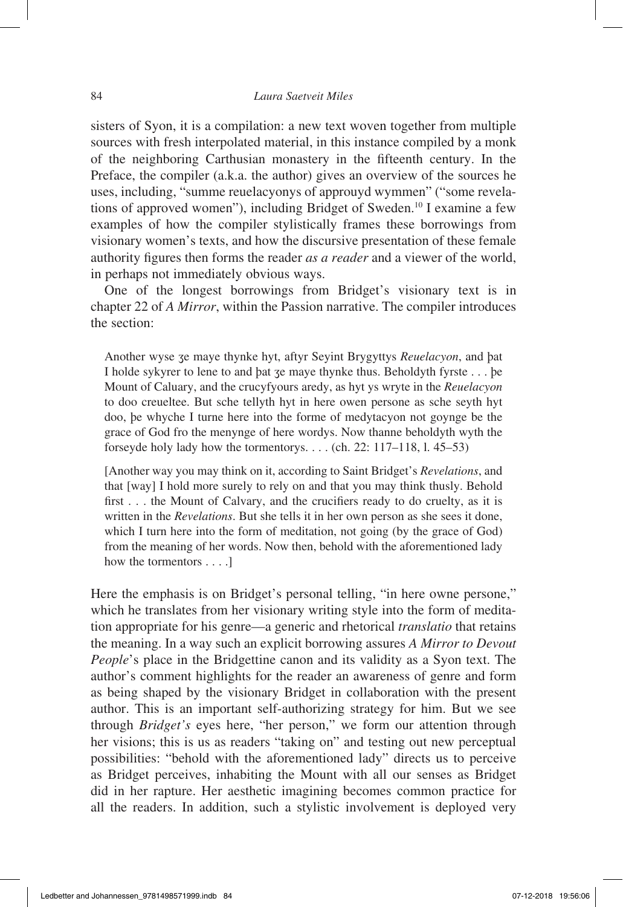sisters of Syon, it is a compilation: a new text woven together from multiple sources with fresh interpolated material, in this instance compiled by a monk of the neighboring Carthusian monastery in the fifteenth century. In the Preface, the compiler (a.k.a. the author) gives an overview of the sources he uses, including, "summe reuelacyonys of approuyd wymmen" ("some revelations of approved women"), including Bridget of Sweden.10 I examine a few examples of how the compiler stylistically frames these borrowings from visionary women's texts, and how the discursive presentation of these female authority figures then forms the reader *as a reader* and a viewer of the world, in perhaps not immediately obvious ways.

One of the longest borrowings from Bridget's visionary text is in chapter 22 of *A Mirror*, within the Passion narrative. The compiler introduces the section:

Another wyse ʒe maye thynke hyt, aftyr Seyint Brygyttys *Reuelacyon*, and þat I holde sykyrer to lene to and þat ʒe maye thynke thus. Beholdyth fyrste . . . þe Mount of Caluary, and the crucyfyours aredy, as hyt ys wryte in the *Reuelacyon* to doo creueltee. But sche tellyth hyt in here owen persone as sche seyth hyt doo, þe whyche I turne here into the forme of medytacyon not goynge be the grace of God fro the menynge of here wordys. Now thanne beholdyth wyth the forseyde holy lady how the tormentorys. . . . (ch. 22: 117–118, l. 45–53)

[Another way you may think on it, according to Saint Bridget's *Revelations*, and that [way] I hold more surely to rely on and that you may think thusly. Behold first . . . the Mount of Calvary, and the crucifiers ready to do cruelty, as it is written in the *Revelations*. But she tells it in her own person as she sees it done, which I turn here into the form of meditation, not going (by the grace of God) from the meaning of her words. Now then, behold with the aforementioned lady how the tormentors . . . .]

Here the emphasis is on Bridget's personal telling, "in here owne persone," which he translates from her visionary writing style into the form of meditation appropriate for his genre—a generic and rhetorical *translatio* that retains the meaning. In a way such an explicit borrowing assures *A Mirror to Devout People*'s place in the Bridgettine canon and its validity as a Syon text. The author's comment highlights for the reader an awareness of genre and form as being shaped by the visionary Bridget in collaboration with the present author. This is an important self-authorizing strategy for him. But we see through *Bridget's* eyes here, "her person," we form our attention through her visions; this is us as readers "taking on" and testing out new perceptual possibilities: "behold with the aforementioned lady" directs us to perceive as Bridget perceives, inhabiting the Mount with all our senses as Bridget did in her rapture. Her aesthetic imagining becomes common practice for all the readers. In addition, such a stylistic involvement is deployed very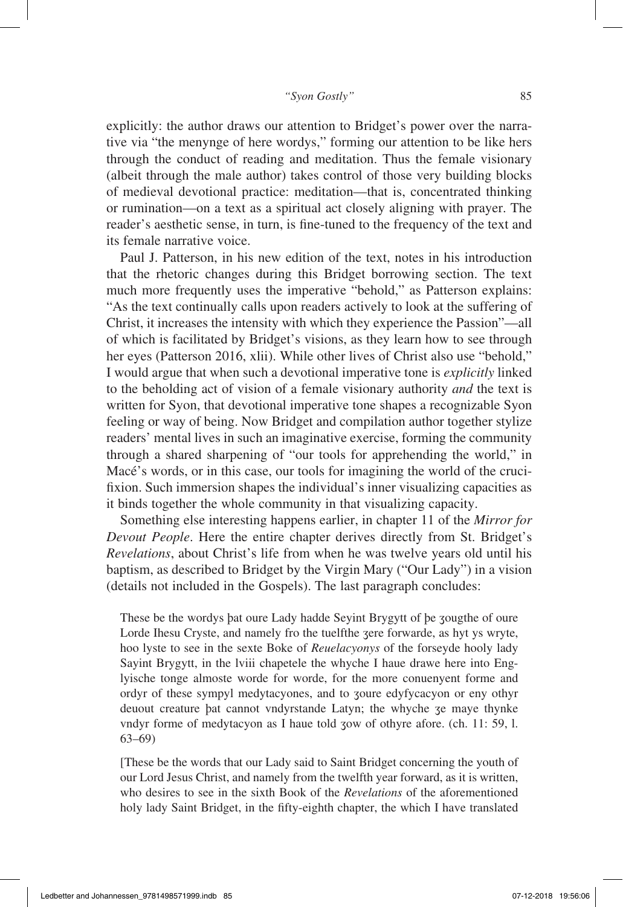explicitly: the author draws our attention to Bridget's power over the narrative via "the menynge of here wordys," forming our attention to be like hers through the conduct of reading and meditation. Thus the female visionary (albeit through the male author) takes control of those very building blocks of medieval devotional practice: meditation—that is, concentrated thinking or rumination—on a text as a spiritual act closely aligning with prayer. The reader's aesthetic sense, in turn, is fine-tuned to the frequency of the text and its female narrative voice.

Paul J. Patterson, in his new edition of the text, notes in his introduction that the rhetoric changes during this Bridget borrowing section. The text much more frequently uses the imperative "behold," as Patterson explains: "As the text continually calls upon readers actively to look at the suffering of Christ, it increases the intensity with which they experience the Passion"—all of which is facilitated by Bridget's visions, as they learn how to see through her eyes (Patterson 2016, xlii). While other lives of Christ also use "behold," I would argue that when such a devotional imperative tone is *explicitly* linked to the beholding act of vision of a female visionary authority *and* the text is written for Syon, that devotional imperative tone shapes a recognizable Syon feeling or way of being. Now Bridget and compilation author together stylize readers' mental lives in such an imaginative exercise, forming the community through a shared sharpening of "our tools for apprehending the world," in Macé's words, or in this case, our tools for imagining the world of the crucifixion. Such immersion shapes the individual's inner visualizing capacities as it binds together the whole community in that visualizing capacity.

Something else interesting happens earlier, in chapter 11 of the *Mirror for Devout People*. Here the entire chapter derives directly from St. Bridget's *Revelations*, about Christ's life from when he was twelve years old until his baptism, as described to Bridget by the Virgin Mary ("Our Lady") in a vision (details not included in the Gospels). The last paragraph concludes:

These be the wordys þat oure Lady hadde Seyint Brygytt of þe ʒougthe of oure Lorde Ihesu Cryste, and namely fro the tuelfthe ʒere forwarde, as hyt ys wryte, hoo lyste to see in the sexte Boke of *Reuelacyonys* of the forseyde hooly lady Sayint Brygytt, in the lviii chapetele the whyche I haue drawe here into Englyische tonge almoste worde for worde, for the more conuenyent forme and ordyr of these sympyl medytacyones, and to ʒoure edyfycacyon or eny othyr deuout creature þat cannot vndyrstande Latyn; the whyche ʒe maye thynke vndyr forme of medytacyon as I haue told ʒow of othyre afore. (ch. 11: 59, l. 63–69)

[These be the words that our Lady said to Saint Bridget concerning the youth of our Lord Jesus Christ, and namely from the twelfth year forward, as it is written, who desires to see in the sixth Book of the *Revelations* of the aforementioned holy lady Saint Bridget, in the fifty-eighth chapter, the which I have translated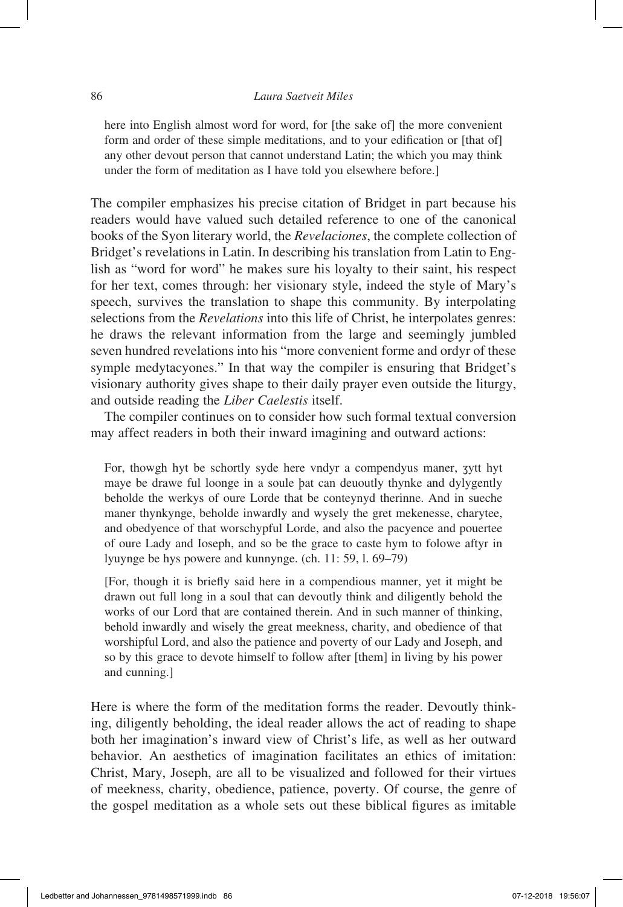# 86 *Laura Saetveit Miles*

here into English almost word for word, for [the sake of] the more convenient form and order of these simple meditations, and to your edification or [that of] any other devout person that cannot understand Latin; the which you may think under the form of meditation as I have told you elsewhere before.]

The compiler emphasizes his precise citation of Bridget in part because his readers would have valued such detailed reference to one of the canonical books of the Syon literary world, the *Revelaciones*, the complete collection of Bridget's revelations in Latin. In describing his translation from Latin to English as "word for word" he makes sure his loyalty to their saint, his respect for her text, comes through: her visionary style, indeed the style of Mary's speech, survives the translation to shape this community. By interpolating selections from the *Revelations* into this life of Christ, he interpolates genres: he draws the relevant information from the large and seemingly jumbled seven hundred revelations into his "more convenient forme and ordyr of these symple medytacyones." In that way the compiler is ensuring that Bridget's visionary authority gives shape to their daily prayer even outside the liturgy, and outside reading the *Liber Caelestis* itself.

The compiler continues on to consider how such formal textual conversion may affect readers in both their inward imagining and outward actions:

For, thowgh hyt be schortly syde here vndyr a compendyus maner, ʒytt hyt maye be drawe ful loonge in a soule þat can deuoutly thynke and dylygently beholde the werkys of oure Lorde that be conteynyd therinne. And in sueche maner thynkynge, beholde inwardly and wysely the gret mekenesse, charytee, and obedyence of that worschypful Lorde, and also the pacyence and pouertee of oure Lady and Ioseph, and so be the grace to caste hym to folowe aftyr in lyuynge be hys powere and kunnynge. (ch. 11: 59, l. 69–79)

[For, though it is briefly said here in a compendious manner, yet it might be drawn out full long in a soul that can devoutly think and diligently behold the works of our Lord that are contained therein. And in such manner of thinking, behold inwardly and wisely the great meekness, charity, and obedience of that worshipful Lord, and also the patience and poverty of our Lady and Joseph, and so by this grace to devote himself to follow after [them] in living by his power and cunning.]

Here is where the form of the meditation forms the reader. Devoutly thinking, diligently beholding, the ideal reader allows the act of reading to shape both her imagination's inward view of Christ's life, as well as her outward behavior. An aesthetics of imagination facilitates an ethics of imitation: Christ, Mary, Joseph, are all to be visualized and followed for their virtues of meekness, charity, obedience, patience, poverty. Of course, the genre of the gospel meditation as a whole sets out these biblical figures as imitable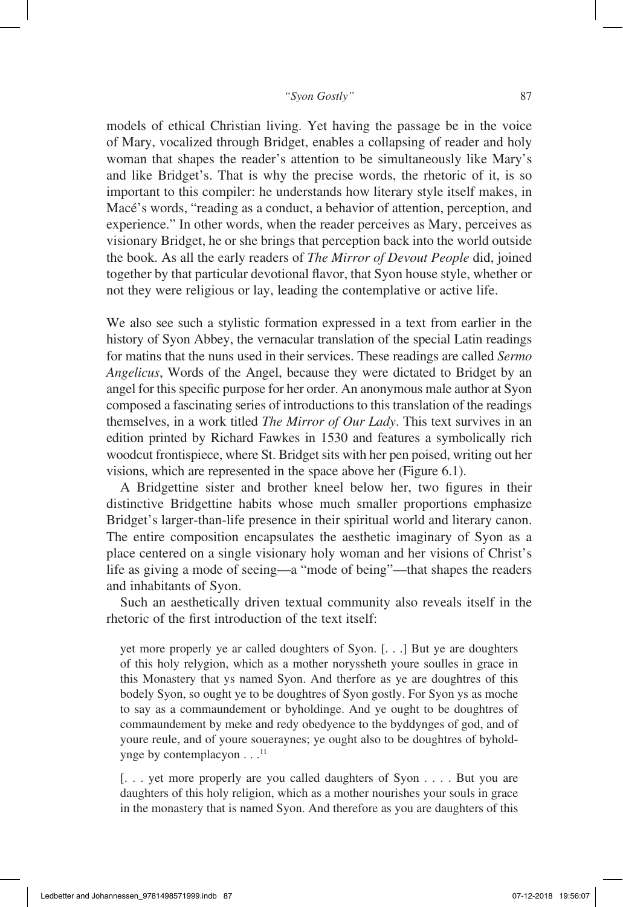models of ethical Christian living. Yet having the passage be in the voice of Mary, vocalized through Bridget, enables a collapsing of reader and holy woman that shapes the reader's attention to be simultaneously like Mary's and like Bridget's. That is why the precise words, the rhetoric of it, is so important to this compiler: he understands how literary style itself makes, in Macé's words, "reading as a conduct, a behavior of attention, perception, and experience." In other words, when the reader perceives as Mary, perceives as visionary Bridget, he or she brings that perception back into the world outside the book. As all the early readers of *The Mirror of Devout People* did, joined together by that particular devotional flavor, that Syon house style, whether or not they were religious or lay, leading the contemplative or active life.

We also see such a stylistic formation expressed in a text from earlier in the history of Syon Abbey, the vernacular translation of the special Latin readings for matins that the nuns used in their services. These readings are called *Sermo Angelicus*, Words of the Angel, because they were dictated to Bridget by an angel for this specific purpose for her order. An anonymous male author at Syon composed a fascinating series of introductions to this translation of the readings themselves, in a work titled *The Mirror of Our Lady*. This text survives in an edition printed by Richard Fawkes in 1530 and features a symbolically rich woodcut frontispiece, where St. Bridget sits with her pen poised, writing out her visions, which are represented in the space above her (Figure 6.1).

A Bridgettine sister and brother kneel below her, two figures in their distinctive Bridgettine habits whose much smaller proportions emphasize Bridget's larger-than-life presence in their spiritual world and literary canon. The entire composition encapsulates the aesthetic imaginary of Syon as a place centered on a single visionary holy woman and her visions of Christ's life as giving a mode of seeing—a "mode of being"—that shapes the readers and inhabitants of Syon.

Such an aesthetically driven textual community also reveals itself in the rhetoric of the first introduction of the text itself:

yet more properly ye ar called doughters of Syon. [. . .] But ye are doughters of this holy relygion, which as a mother noryssheth youre soulles in grace in this Monastery that ys named Syon. And therfore as ye are doughtres of this bodely Syon, so ought ye to be doughtres of Syon gostly. For Syon ys as moche to say as a commaundement or byholdinge. And ye ought to be doughtres of commaundement by meke and redy obedyence to the byddynges of god, and of youre reule, and of youre soueraynes; ye ought also to be doughtres of byholdynge by contemplacyon . . . 11

[. . . yet more properly are you called daughters of Syon . . . . But you are daughters of this holy religion, which as a mother nourishes your souls in grace in the monastery that is named Syon. And therefore as you are daughters of this

Ledbetter and Johannessen\_9781498571999.indb 87 07-12-2018 19:56:07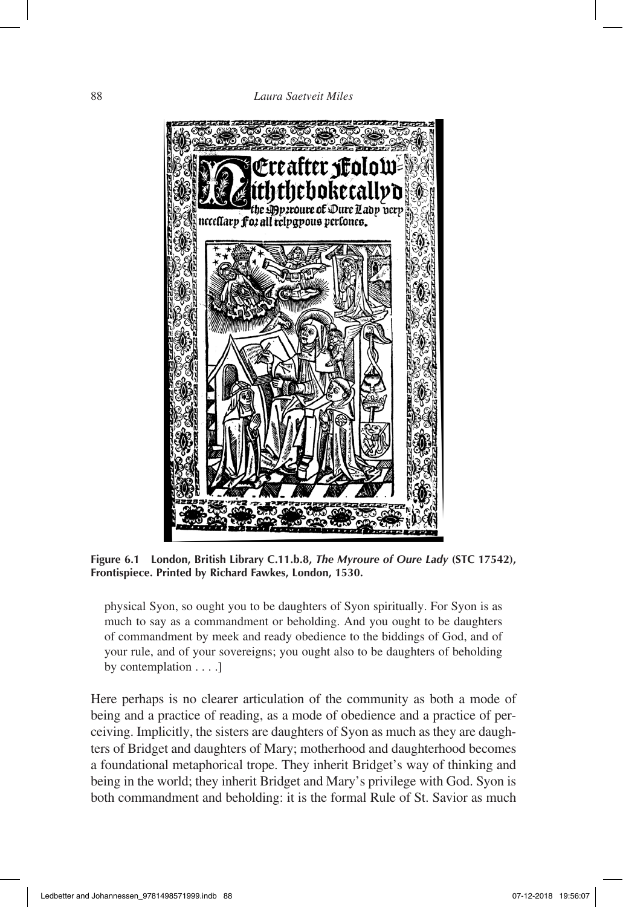

**Figure 6.1 London, British Library C.11.b.8,** *The Myroure of Oure Lady* **(STC 17542), Frontispiece. Printed by Richard Fawkes, London, 1530.**

physical Syon, so ought you to be daughters of Syon spiritually. For Syon is as much to say as a commandment or beholding. And you ought to be daughters of commandment by meek and ready obedience to the biddings of God, and of your rule, and of your sovereigns; you ought also to be daughters of beholding by contemplation . . . .]

Here perhaps is no clearer articulation of the community as both a mode of being and a practice of reading, as a mode of obedience and a practice of perceiving. Implicitly, the sisters are daughters of Syon as much as they are daughters of Bridget and daughters of Mary; motherhood and daughterhood becomes a foundational metaphorical trope. They inherit Bridget's way of thinking and being in the world; they inherit Bridget and Mary's privilege with God. Syon is both commandment and beholding: it is the formal Rule of St. Savior as much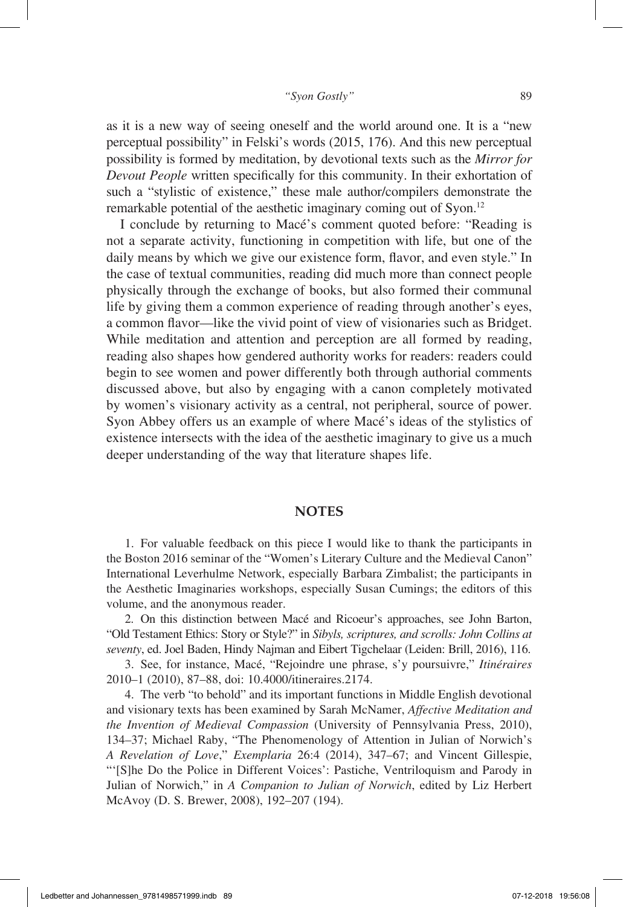as it is a new way of seeing oneself and the world around one. It is a "new perceptual possibility" in Felski's words (2015, 176). And this new perceptual possibility is formed by meditation, by devotional texts such as the *Mirror for Devout People* written specifically for this community. In their exhortation of such a "stylistic of existence," these male author/compilers demonstrate the remarkable potential of the aesthetic imaginary coming out of Syon.12

I conclude by returning to Macé's comment quoted before: "Reading is not a separate activity, functioning in competition with life, but one of the daily means by which we give our existence form, flavor, and even style." In the case of textual communities, reading did much more than connect people physically through the exchange of books, but also formed their communal life by giving them a common experience of reading through another's eyes, a common flavor—like the vivid point of view of visionaries such as Bridget. While meditation and attention and perception are all formed by reading, reading also shapes how gendered authority works for readers: readers could begin to see women and power differently both through authorial comments discussed above, but also by engaging with a canon completely motivated by women's visionary activity as a central, not peripheral, source of power. Syon Abbey offers us an example of where Macé's ideas of the stylistics of existence intersects with the idea of the aesthetic imaginary to give us a much deeper understanding of the way that literature shapes life.

# **NOTES**

1. For valuable feedback on this piece I would like to thank the participants in the Boston 2016 seminar of the "Women's Literary Culture and the Medieval Canon" International Leverhulme Network, especially Barbara Zimbalist; the participants in the Aesthetic Imaginaries workshops, especially Susan Cumings; the editors of this volume, and the anonymous reader.

2. On this distinction between Macé and Ricoeur's approaches, see John Barton, "Old Testament Ethics: Story or Style?" in *Sibyls, scriptures, and scrolls: John Collins at seventy*, ed. Joel Baden, Hindy Najman and Eibert Tigchelaar (Leiden: Brill, 2016), 116.

3. See, for instance, Macé, "Rejoindre une phrase, s'y poursuivre," *Itinéraires* 2010–1 (2010), 87–88, doi: 10.4000/itineraires.2174.

4. The verb "to behold" and its important functions in Middle English devotional and visionary texts has been examined by Sarah McNamer, *Affective Meditation and the Invention of Medieval Compassion* (University of Pennsylvania Press, 2010), 134–37; Michael Raby, "The Phenomenology of Attention in Julian of Norwich's *A Revelation of Love*," *Exemplaria* 26:4 (2014), 347–67; and Vincent Gillespie, "'[S]he Do the Police in Different Voices': Pastiche, Ventriloquism and Parody in Julian of Norwich," in *A Companion to Julian of Norwich*, edited by Liz Herbert McAvoy (D. S. Brewer, 2008), 192–207 (194).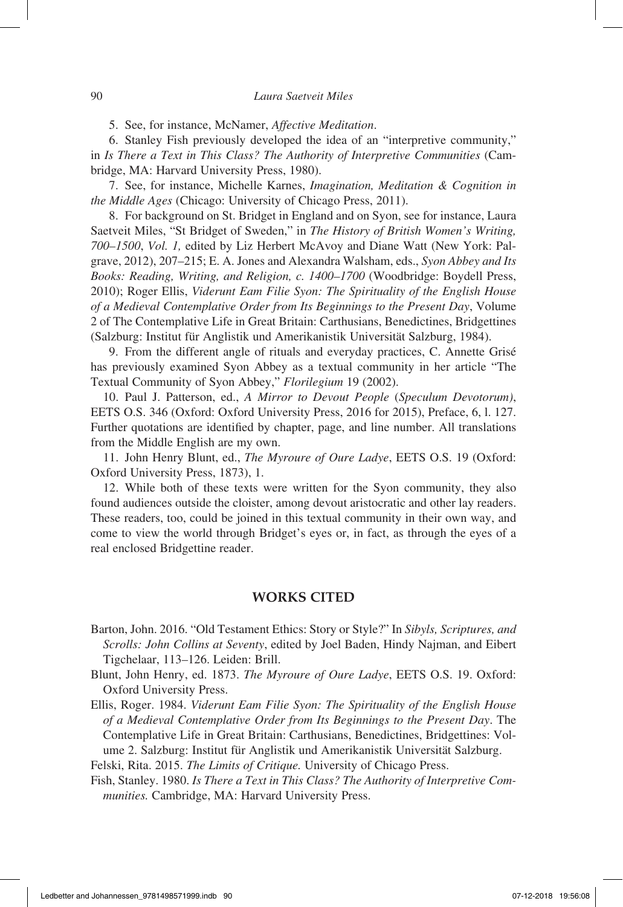5. See, for instance, McNamer, *Affective Meditation*.

6. Stanley Fish previously developed the idea of an "interpretive community," in *Is There a Text in This Class? The Authority of Interpretive Communities* (Cambridge, MA: Harvard University Press, 1980).

7. See, for instance, Michelle Karnes, *Imagination, Meditation & Cognition in the Middle Ages* (Chicago: University of Chicago Press, 2011).

8. For background on St. Bridget in England and on Syon, see for instance, Laura Saetveit Miles, "St Bridget of Sweden," in *The History of British Women's Writing, 700–1500*, *Vol. 1,* edited by Liz Herbert McAvoy and Diane Watt (New York: Palgrave, 2012), 207–215; E. A. Jones and Alexandra Walsham, eds., *Syon Abbey and Its Books: Reading, Writing, and Religion, c. 1400–1700* (Woodbridge: Boydell Press, 2010); Roger Ellis, *Viderunt Eam Filie Syon: The Spirituality of the English House of a Medieval Contemplative Order from Its Beginnings to the Present Day*, Volume 2 of The Contemplative Life in Great Britain: Carthusians, Benedictines, Bridgettines (Salzburg: Institut für Anglistik und Amerikanistik Universität Salzburg, 1984).

9. From the different angle of rituals and everyday practices, C. Annette Grisé has previously examined Syon Abbey as a textual community in her article "The Textual Community of Syon Abbey," *Florilegium* 19 (2002).

10. Paul J. Patterson, ed., *A Mirror to Devout People* (*Speculum Devotorum)*, EETS O.S. 346 (Oxford: Oxford University Press, 2016 for 2015), Preface, 6, l. 127. Further quotations are identified by chapter, page, and line number. All translations from the Middle English are my own.

11. John Henry Blunt, ed., *The Myroure of Oure Ladye*, EETS O.S. 19 (Oxford: Oxford University Press, 1873), 1.

12. While both of these texts were written for the Syon community, they also found audiences outside the cloister, among devout aristocratic and other lay readers. These readers, too, could be joined in this textual community in their own way, and come to view the world through Bridget's eyes or, in fact, as through the eyes of a real enclosed Bridgettine reader.

# **WORKS CITED**

Barton, John. 2016. "Old Testament Ethics: Story or Style?" In *Sibyls, Scriptures, and Scrolls: John Collins at Seventy*, edited by Joel Baden, Hindy Najman, and Eibert Tigchelaar, 113–126. Leiden: Brill.

Blunt, John Henry, ed. 1873. *The Myroure of Oure Ladye*, EETS O.S. 19. Oxford: Oxford University Press.

Ellis, Roger. 1984. *Viderunt Eam Filie Syon: The Spirituality of the English House of a Medieval Contemplative Order from Its Beginnings to the Present Day*. The Contemplative Life in Great Britain: Carthusians, Benedictines, Bridgettines: Volume 2. Salzburg: Institut für Anglistik und Amerikanistik Universität Salzburg.

Felski, Rita. 2015. *The Limits of Critique.* University of Chicago Press.

Fish, Stanley. 1980. *Is There a Text in This Class? The Authority of Interpretive Communities.* Cambridge, MA: Harvard University Press.